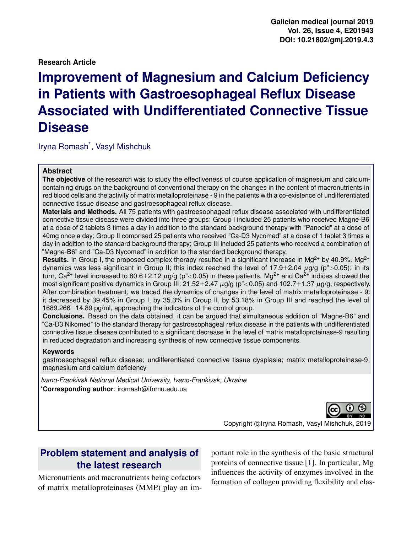#### **Research Article**

# **Improvement of Magnesium and Calcium Deficiency in Patients with Gastroesophageal Reflux Disease Associated with Undifferentiated Connective Tissue Disease**

Iryna Romash\* , Vasyl Mishchuk

#### **Abstract**

**The objective** of the research was to study the effectiveness of course application of magnesium and calciumcontaining drugs on the background of conventional therapy on the changes in the content of macronutrients in red blood cells and the activity of matrix metalloproteinase - 9 in the patients with a co-existence of undifferentiated connective tissue disease and gastroesophageal reflux disease.

**Materials and Methods.** All 75 patients with gastroesophageal reflux disease associated with undifferentiated connective tissue disease were divided into three groups: Group I included 25 patients who received Magne-B6 at a dose of 2 tablets 3 times a day in addition to the standard background therapy with "Panocid" at a dose of 40mg once a day; Group II comprised 25 patients who received "Ca-D3 Nycomed" at a dose of 1 tablet 3 times a day in addition to the standard background therapy; Group III included 25 patients who received a combination of "Magne-B6" and "Ca-D3 Nycomed" in addition to the standard background therapy.

**Results.** In Group I, the proposed complex therapy resulted in a significant increase in Mg<sup>2+</sup> by 40.9%. Mg<sup>2+</sup> dynamics was less significant in Group II; this index reached the level of 17.9 $\pm$ 2.04  $\mu$ g/g (p">0.05); in its turn, Ca<sup>2+</sup> level increased to 80.6±2.12  $\mu$ g/g (p"<0.05) in these patients. Mg<sup>2+</sup> and Ca<sup>2+</sup> indices showed the most significant positive dynamics in Group III:  $21.52\pm2.47$   $\mu$ g/g (p"<0.05) and 102.7 $\pm$ 1.37  $\mu$ g/g, respectively. After combination treatment, we traced the dynamics of changes in the level of matrix metalloproteinase - 9: it decreased by 39.45% in Group I, by 35.3% in Group II, by 53.18% in Group III and reached the level of 1689.266±14.89 pg/ml, approaching the indicators of the control group.

**Conclusions.** Based on the data obtained, it can be argued that simultaneous addition of "Magne-B6" and "Ca-D3 Nikomed" to the standard therapy for gastroesophageal reflux disease in the patients with undifferentiated connective tissue disease contributed to a significant decrease in the level of matrix metalloproteinase-9 resulting in reduced degradation and increasing synthesis of new connective tissue components.

#### **Keywords**

gastroesophageal reflux disease; undifferentiated connective tissue dysplasia; matrix metalloproteinase-9; magnesium and calcium deficiency

*Ivano-Frankivsk National Medical University, Ivano-Frankivsk, Ukraine* \***Corresponding author**: iromash@ifnmu.edu.ua



Copyright © Iryna Romash, Vasyl Mishchuk, 2019

## **Problem statement and analysis of the latest research**

Micronutrients and macronutrients being cofactors of matrix metalloproteinases (MMP) play an important role in the synthesis of the basic structural proteins of connective tissue [\[1\]](#page-6-0). In particular, Mg influences the activity of enzymes involved in the formation of collagen providing flexibility and elas-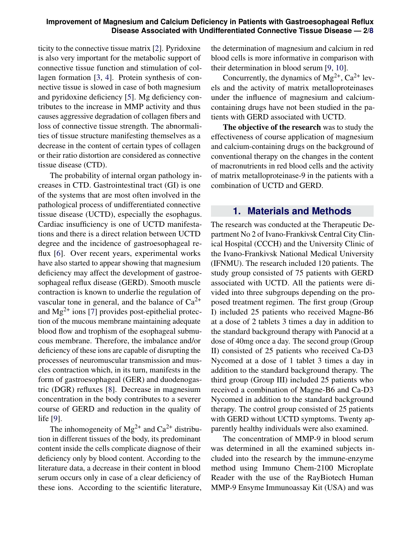#### **Improvement of Magnesium and Calcium Deficiency in Patients with Gastroesophageal Reflux Disease Associated with Undifferentiated Connective Tissue Disease — 2[/8](#page-7-0)**

ticity to the connective tissue matrix [\[2\]](#page-6-1). Pyridoxine is also very important for the metabolic support of connective tissue function and stimulation of collagen formation [\[3,](#page-6-2) [4\]](#page-6-3). Protein synthesis of connective tissue is slowed in case of both magnesium and pyridoxine deficiency [\[5\]](#page-6-4). Mg deficiency contributes to the increase in MMP activity and thus causes aggressive degradation of collagen fibers and loss of connective tissue strength. The abnormalities of tissue structure manifesting themselves as a decrease in the content of certain types of collagen or their ratio distortion are considered as connective tissue disease (CTD).

The probability of internal organ pathology increases in CTD. Gastrointestinal tract (GI) is one of the systems that are most often involved in the pathological process of undifferentiated connective tissue disease (UCTD), especially the esophagus. Cardiac insufficiency is one of UCTD manifestations and there is a direct relation between UCTD degree and the incidence of gastroesophageal reflux [\[6\]](#page-7-1). Over recent years, experimental works have also started to appear showing that magnesium deficiency may affect the development of gastroesophageal reflux disease (GERD). Smooth muscle contraction is known to underlie the regulation of vascular tone in general, and the balance of  $Ca^{2+}$ and  $Mg^{2+}$  ions [\[7\]](#page-7-2) provides post-epithelial protection of the mucous membrane maintaining adequate blood flow and trophism of the esophageal submucous membrane. Therefore, the imbalance and/or deficiency of these ions are capable of disrupting the processes of neuromuscular transmission and muscles contraction which, in its turn, manifests in the form of gastroesophageal (GER) and duodenogastric (DGR) refluxes [\[8\]](#page-7-3). Decrease in magnesium concentration in the body contributes to a severer course of GERD and reduction in the quality of life [\[9\]](#page-7-4).

The inhomogeneity of  $Mg^{2+}$  and  $Ca^{2+}$  distribution in different tissues of the body, its predominant content inside the cells complicate diagnose of their deficiency only by blood content. According to the literature data, a decrease in their content in blood serum occurs only in case of a clear deficiency of these ions. According to the scientific literature,

the determination of magnesium and calcium in red blood cells is more informative in comparison with their determination in blood serum [\[9,](#page-7-4) [10\]](#page-7-5).

Concurrently, the dynamics of  $Mg^{2+}$ ,  $Ca^{2+}$  levels and the activity of matrix metalloproteinases under the influence of magnesium and calciumcontaining drugs have not been studied in the patients with GERD associated with UCTD.

The objective of the research was to study the effectiveness of course application of magnesium and calcium-containing drugs on the background of conventional therapy on the changes in the content of macronutrients in red blood cells and the activity of matrix metalloproteinase-9 in the patients with a combination of UCTD and GERD.

## **1. Materials and Methods**

The research was conducted at the Therapeutic Department No 2 of Ivano-Frankivsk Central City Clinical Hospital (CCCH) and the University Clinic of the Ivano-Frankivsk National Medical University (IFNMU). The research included 120 patients. The study group consisted of 75 patients with GERD associated with UCTD. All the patients were divided into three subgroups depending on the proposed treatment regimen. The first group (Group I) included 25 patients who received Magne-B6 at a dose of 2 tablets 3 times a day in addition to the standard background therapy with Panocid at a dose of 40mg once a day. The second group (Group II) consisted of 25 patients who received Ca-D3 Nycomed at a dose of 1 tablet 3 times a day in addition to the standard background therapy. The third group (Group III) included 25 patients who received a combination of Magne-B6 and Ca-D3 Nycomed in addition to the standard background therapy. The control group consisted of 25 patients with GERD without UCTD symptoms. Twenty apparently healthy individuals were also examined.

The concentration of MMP-9 in blood serum was determined in all the examined subjects included into the research by the immune-enzyme method using Immuno Chem-2100 Microplate Reader with the use of the RayBiotech Human MMP-9 Ensyme Immunoassay Kit (USA) and was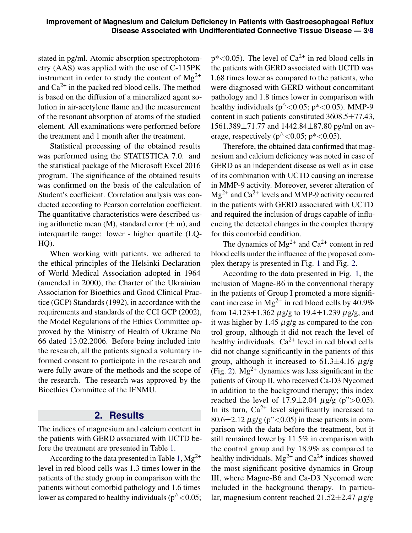stated in pg/ml. Atomic absorption spectrophotometry (AAS) was applied with the use of C-115PK instrument in order to study the content of  $Mg^{2+}$ and  $Ca^{2+}$  in the packed red blood cells. The method is based on the diffusion of a mineralized agent solution in air-acetylene flame and the measurement of the resonant absorption of atoms of the studied element. All examinations were performed before the treatment and 1 month after the treatment.

Statistical processing of the obtained results was performed using the STATISTICA 7.0. and the statistical package of the Microsoft Excel 2016 program. The significance of the obtained results was confirmed on the basis of the calculation of Student's coefficient. Correlation analysis was conducted according to Pearson correlation coefficient. The quantitative characteristics were described using arithmetic mean (M), standard error  $(\pm m)$ , and interquartile range: lower - higher quartile (LQ-HQ).

When working with patients, we adhered to the ethical principles of the Helsinki Declaration of World Medical Association adopted in 1964 (amended in 2000), the Charter of the Ukrainian Association for Bioethics and Good Clinical Practice (GCP) Standards (1992), in accordance with the requirements and standards of the CCI GCP (2002), the Model Regulations of the Ethics Committee approved by the Ministry of Health of Ukraine No 66 dated 13.02.2006. Before being included into the research, all the patients signed a voluntary informed consent to participate in the research and were fully aware of the methods and the scope of the research. The research was approved by the Bioethics Committee of the IFNMU.

## **2. Results**

The indices of magnesium and calcium content in the patients with GERD associated with UCTD before the treatment are presented in Table [1.](#page-3-0)

According to the data presented in Table [1,](#page-3-0)  $Mg^{2+}$ level in red blood cells was 1.3 times lower in the patients of the study group in comparison with the patients without comorbid pathology and 1.6 times lower as compared to healthy individuals ( $p^{\wedge} < 0.05$ ;  $p^*$ <0.05). The level of  $Ca^{2+}$  in red blood cells in the patients with GERD associated with UCTD was 1.68 times lower as compared to the patients, who were diagnosed with GERD without concomitant pathology and 1.8 times lower in comparison with healthy individuals ( $p^{\wedge}$ <0.05;  $p^*$ <0.05). MMP-9 content in such patients constituted  $3608.5 \pm 77.43$ ,  $1561.389 \pm 71.77$  and  $1442.84 \pm 87.80$  pg/ml on average, respectively ( $p^{\wedge}$ <0.05;  $p^*$ <0.05).

Therefore, the obtained data confirmed that magnesium and calcium deficiency was noted in case of GERD as an independent disease as well as in case of its combination with UCTD causing an increase in MMP-9 activity. Moreover, severer alteration of  $Mg^{2+}$  and  $Ca^{2+}$  levels and MMP-9 activity occurred in the patients with GERD associated with UCTD and required the inclusion of drugs capable of influencing the detected changes in the complex therapy for this comorbid condition.

The dynamics of  $Mg^{2+}$  and  $Ca^{2+}$  content in red blood cells under the influence of the proposed complex therapy is presented in Fig. [1](#page-3-1) and Fig. [2.](#page-4-0)

According to the data presented in Fig. [1,](#page-3-1) the inclusion of Magne-B6 in the conventional therapy in the patients of Group I promoted a more significant increase in  $Mg^{2+}$  in red blood cells by 40.9% from  $14.123 \pm 1.362 \mu$  g/g to  $19.4 \pm 1.239 \mu$  g/g, and it was higher by 1.45  $\mu$ g/g as compared to the control group, although it did not reach the level of healthy individuals.  $Ca^{2+}$  level in red blood cells did not change significantly in the patients of this group, although it increased to  $61.3 \pm 4.16 \mu$  g/g (Fig. [2\)](#page-4-0).  $Mg^{2+}$  dynamics was less significant in the patients of Group II, who received Ca-D3 Nycomed in addition to the background therapy; this index reached the level of  $17.9 \pm 2.04$   $\mu$ g/g (p">0.05). In its turn,  $Ca^{2+}$  level significantly increased to  $80.6\pm2.12 \mu$ g/g (p"<0.05) in these patients in comparison with the data before the treatment, but it still remained lower by 11.5% in comparison with the control group and by 18.9% as compared to healthy individuals.  $Mg^{2+}$  and  $Ca^{2+}$  indices showed the most significant positive dynamics in Group III, where Magne-B6 and Ca-D3 Nycomed were included in the background therapy. In particular, magnesium content reached  $21.52\pm2.47 \mu$ g/g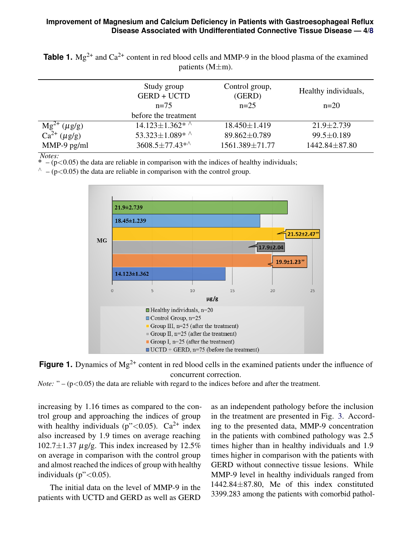### **Improvement of Magnesium and Calcium Deficiency in Patients with Gastroesophageal Reflux Disease Associated with Undifferentiated Connective Tissue Disease — 4[/8](#page-7-0)**

<span id="page-3-0"></span>**Table 1.**  $Mg^{2+}$  and  $Ca^{2+}$  content in red blood cells and MMP-9 in the blood plasma of the examined patients (M±m).

|                                               | Study group<br><b>GERD + UCTD</b> | Control group,<br>(GERD) | Healthy individuals, |
|-----------------------------------------------|-----------------------------------|--------------------------|----------------------|
|                                               | $n=75$                            | $n=25$                   | $n=20$               |
|                                               | before the treatment              |                          |                      |
| $\frac{Mg^{2+} (\mu g/g)}{Ca^{2+} (\mu g/g)}$ | $14.123 \pm 1.362^*$              | $18.450 \pm 1.419$       | $21.9 \pm 2.739$     |
|                                               | 53.323 $\pm$ 1.089* ^             | 89.862±0.789             | $99.5 \pm 0.189$     |
| $MMP-9$ pg/ml                                 | $3608.5 \pm 77.43**$              | 1561.389±71.77           | 1442.84±87.80        |

*Notes:*

 $-$  ( $p$ <0.05) the data are reliable in comparison with the indices of healthy individuals;

<span id="page-3-1"></span> $\gamma$  – (p<0.05) the data are reliable in comparison with the control group.





*Note:* " $-$  ( $p$ <0.05) the data are reliable with regard to the indices before and after the treatment.

increasing by 1.16 times as compared to the control group and approaching the indices of group with healthy individuals ( $p''<0.05$ ). Ca<sup>2+</sup> index also increased by 1.9 times on average reaching  $102.7 \pm 1.37 \mu$ g/g. This index increased by 12.5% on average in comparison with the control group and almost reached the indices of group with healthy individuals ( $p^{\prime\prime}$ <0.05).

The initial data on the level of MMP-9 in the patients with UCTD and GERD as well as GERD as an independent pathology before the inclusion in the treatment are presented in Fig. [3.](#page-5-0) According to the presented data, MMP-9 concentration in the patients with combined pathology was 2.5 times higher than in healthy individuals and 1.9 times higher in comparison with the patients with GERD without connective tissue lesions. While MMP-9 level in healthy individuals ranged from 1442.84±87.80, Me of this index constituted 3399.283 among the patients with comorbid pathol-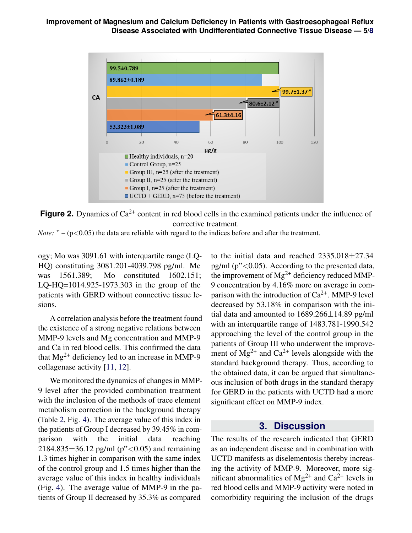<span id="page-4-0"></span>

**Figure 2.** Dynamics of  $Ca^{2+}$  content in red blood cells in the examined patients under the influence of corrective treatment.

*Note:* " $-$  ( $p$ <0.05) the data are reliable with regard to the indices before and after the treatment.

ogy; Mo was 3091.61 with interquartile range (LQ-HQ) constituting 3081.201-4039.798 pg/ml. Me was 1561.389; Mo constituted 1602.151; LQ-HQ=1014.925-1973.303 in the group of the patients with GERD without connective tissue lesions.

A correlation analysis before the treatment found the existence of a strong negative relations between MMP-9 levels and Mg concentration and MMP-9 and Ca in red blood cells. This confirmed the data that  $Mg^{2+}$  deficiency led to an increase in MMP-9 collagenase activity [\[11,](#page-7-6) [12\]](#page-7-7).

We monitored the dynamics of changes in MMP-9 level after the provided combination treatment with the inclusion of the methods of trace element metabolism correction in the background therapy (Table [2,](#page-6-5) Fig. [4\)](#page-5-1). The average value of this index in the patients of Group I decreased by 39.45% in comparison with the initial data reaching 2184.835 $\pm$ 36.12 pg/ml (p"<0.05) and remaining 1.3 times higher in comparison with the same index of the control group and 1.5 times higher than the average value of this index in healthy individuals (Fig. [4\)](#page-5-1). The average value of MMP-9 in the patients of Group II decreased by 35.3% as compared

to the initial data and reached 2335.018±27.34 pg/ml  $(p^{\prime\prime} < 0.05)$ . According to the presented data, the improvement of  $Mg^{2+}$  deficiency reduced MMP-9 concentration by 4.16% more on average in comparison with the introduction of  $Ca^{2+}$ . MMP-9 level decreased by 53.18% in comparison with the initial data and amounted to  $1689.266 \pm 14.89$  pg/ml with an interquartile range of 1483.781-1990.542 approaching the level of the control group in the patients of Group III who underwent the improvement of  $Mg^{2+}$  and  $Ca^{2+}$  levels alongside with the standard background therapy. Thus, according to the obtained data, it can be argued that simultaneous inclusion of both drugs in the standard therapy for GERD in the patients with UCTD had a more significant effect on MMP-9 index.

## **3. Discussion**

The results of the research indicated that GERD as an independent disease and in combination with UCTD manifests as diselementosis thereby increasing the activity of MMP-9. Moreover, more significant abnormalities of  $Mg^{2+}$  and  $Ca^{2+}$  levels in red blood cells and MMP-9 activity were noted in comorbidity requiring the inclusion of the drugs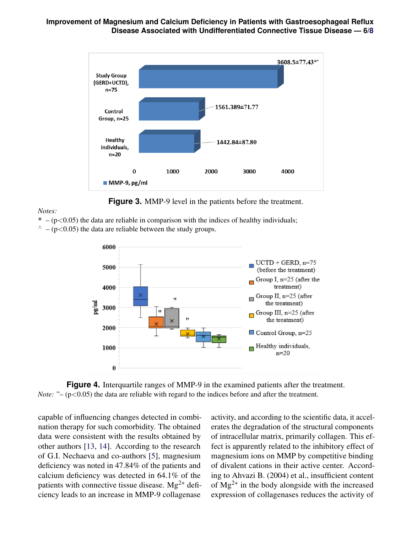<span id="page-5-0"></span>**Improvement of Magnesium and Calcium Deficiency in Patients with Gastroesophageal Reflux Disease Associated with Undifferentiated Connective Tissue Disease — 6[/8](#page-7-0)**



**Figure 3.** MMP-9 level in the patients before the treatment.

#### *Notes:*

<span id="page-5-1"></span> $* - (p<0.05)$  the data are reliable in comparison with the indices of healthy individuals;  $\wedge$  – (p<0.05) the data are reliable between the study groups.



**Figure 4.** Interquartile ranges of MMP-9 in the examined patients after the treatment. *Note:* "– (p<0.05) the data are reliable with regard to the indices before and after the treatment.

capable of influencing changes detected in combination therapy for such comorbidity. The obtained data were consistent with the results obtained by other authors [\[13,](#page-7-8) [14\]](#page-7-9). According to the research of G.I. Nechaeva and co-authors [\[5\]](#page-6-4), magnesium deficiency was noted in 47.84% of the patients and calcium deficiency was detected in 64.1% of the patients with connective tissue disease.  $Mg^{2+}$  deficiency leads to an increase in MMP-9 collagenase

activity, and according to the scientific data, it accelerates the degradation of the structural components of intracellular matrix, primarily collagen. This effect is apparently related to the inhibitory effect of magnesium ions on MMP by competitive binding of divalent cations in their active center. According to Ahvazi B. (2004) et al., insufficient content of  $Mg^{2+}$  in the body alongside with the increased expression of collagenases reduces the activity of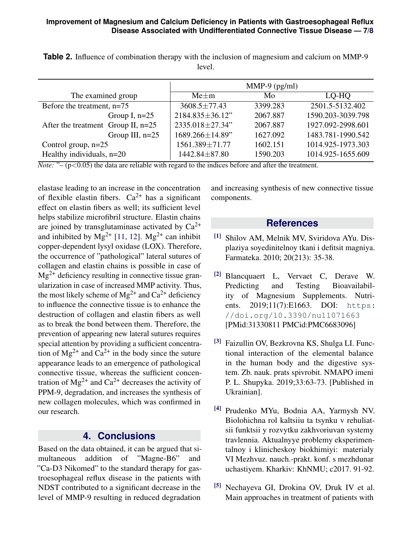|                                      | $MMP-9$ (pg/ml)        |          |                   |
|--------------------------------------|------------------------|----------|-------------------|
| The examined group                   | $Me+m$                 | Mo       | LQ-HQ             |
| Before the treatment, n=75           | $3608.5 \pm 77.43$     | 3399.283 | 2501.5-5132.402   |
| Group I, $n=25$                      | 2184.835±36.12"        | 2067.887 | 1590.203-3039.798 |
| After the treatment Group II, $n=25$ | 2335.018±27.34"        | 2067.887 | 1927.092-2998.601 |
| Group III, $n=25$                    | $1689.266 \pm 14.89$ " | 1627.092 | 1483.781-1990.542 |
| Control group, $n=25$                | 1561.389±71.77         | 1602.151 | 1014.925-1973.303 |
| Healthy individuals, $n=20$          | 1442.84±87.80          | 1590.203 | 1014.925-1655.609 |

<span id="page-6-5"></span>**Table 2.** Influence of combination therapy with the inclusion of magnesium and calcium on MMP-9 level.

*Note:* " $-(p<0.05)$  the data are reliable with regard to the indices before and after the treatment.

elastase leading to an increase in the concentration of flexible elastin fibers.  $Ca^{2+}$  has a significant effect on elastin fibers as well; its sufficient level helps stabilize microfibril structure. Elastin chains are joined by transglutaminase activated by  $Ca^{2+}$ and inhibited by  $Mg^{2+}$  [\[11,](#page-7-6) [12\]](#page-7-7).  $Mg^{2+}$  can inhibit copper-dependent lysyl oxidase (LOX). Therefore, the occurrence of "pathological" lateral sutures of collagen and elastin chains is possible in case of  $Mg^{2+}$  deficiency resulting in connective tissue granularization in case of increased MMP activity. Thus, the most likely scheme of  $Mg^{2+}$  and  $Ca^{2+}$  deficiency to influence the connective tissue is to enhance the destruction of collagen and elastin fibers as well as to break the bond between them. Therefore, the prevention of appearing new lateral sutures requires special attention by providing a sufficient concentration of  $Mg^{2+}$  and  $Ca^{2+}$  in the body since the suture appearance leads to an emergence of pathological connective tissue, whereas the sufficient concentration of  $Mg^{2+}$  and  $Ca^{2+}$  decreases the activity of PPM-9, degradation, and increases the synthesis of new collagen molecules, which was confirmed in our research.

## **4. Conclusions**

Based on the data obtained, it can be argued that simultaneous addition of "Magne-B6" and "Ca-D3 Nikomed" to the standard therapy for gastroesophageal reflux disease in the patients with NDST contributed to a significant decrease in the level of MMP-9 resulting in reduced degradation

and increasing synthesis of new connective tissue components.

## **References**

- <span id="page-6-0"></span>[1] Shilov AM, Melnik MV, Sviridova AYu. Displaziya soyedinitelnoy tkani i defitsit magniya. Farmateka. 2010; 20(213): 35-38.
- <span id="page-6-1"></span>[2] Blancquaert L, Vervaet C, Derave W. Predicting and Testing Bioavailability of Magnesium Supplements. Nutrients. 2019;11(7):E1663. DOI: [https:](https://doi.org/10.3390/nu11071663) [//doi.org/10.3390/nu11071663](https://doi.org/10.3390/nu11071663) [PMid:31330811 PMCid:PMC6683096]
- <span id="page-6-2"></span>[3] Faizullin OV, Bezkrovna KS, Shulga LI. Functional interaction of the elemental balance in the human body and the digestive system. Zb. nauk. prats spivrobit. NMAPO imeni P. L. Shupyka. 2019;33:63-73. [Published in Ukrainian].
- <span id="page-6-3"></span>[4] Prudenko MYu, Bodnia AA, Yarmysh NV. Biolohichna rol kaltsiiu ta tsynku v rehuliatsii funktsii y rozvytku zakhvoriuvan systemy travlennia. Aktualnyye problemy eksperimentalnoy i klinicheskoy biokhimiyi: materialy VI Mezhvuz. nauch.-prakt. konf. s mezhdunar uchastiyem. Kharkiv: KhNMU; c2017. 91-92.
- <span id="page-6-4"></span><sup>[5]</sup> Nechayeva GI, Drokina OV, Druk IV et al. Main approaches in treatment of patients with